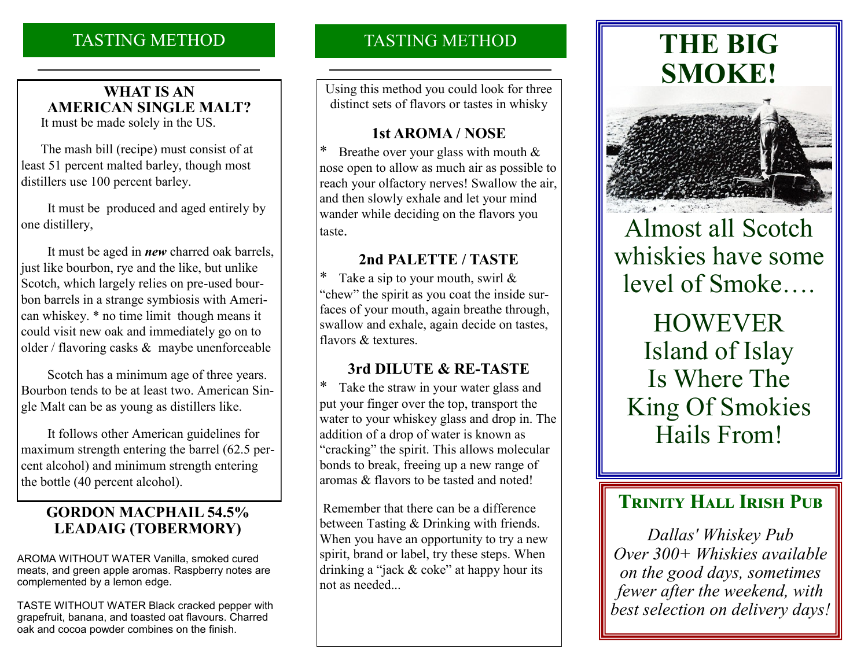# TASTING METHOD

## **WHAT IS AN AMERICAN SINGLE MALT?**

It must be made solely in the US.

 The mash bill (recipe) must consist of at least 51 percent malted barley, though most distillers use 100 percent barley.

 It must be produced and aged entirely by one distillery,

 It must be aged in *new* charred oak barrels, just like bourbon, rye and the like, but unlike Scotch, which largely relies on pre-used bourbon barrels in a strange symbiosis with American whiskey. \* no time limit though means it could visit new oak and immediately go on to older / flavoring casks & maybe unenforceable

 Scotch has a minimum age of three years. Bourbon tends to be at least two. American Single Malt can be as young as distillers like.

 It follows other American guidelines for maximum strength entering the barrel (62.5 percent alcohol) and minimum strength entering the bottle (40 percent alcohol).

### **GORDON MACPHAIL 54.5% LEADAIG (TOBERMORY)**

AROMA WITHOUT WATER Vanilla, smoked cured meats, and green apple aromas. Raspberry notes are complemented by a lemon edge.

TASTE WITHOUT WATER Black cracked pepper with grapefruit, banana, and toasted oat flavours. Charred oak and cocoa powder combines on the finish.

# TASTING METHOD

Using this method you could look for three distinct sets of flavors or tastes in whisky

### **1st AROMA / NOSE**

Breathe over your glass with mouth  $&$ nose open to allow as much air as possible to reach your olfactory nerves! Swallow the air, and then slowly exhale and let your mind wander while deciding on the flavors you taste.

### **2nd PALETTE / TASTE**

Take a sip to your mouth, swirl  $\&$ "chew" the spirit as you coat the inside surfaces of your mouth, again breathe through, swallow and exhale, again decide on tastes, flavors & textures.

### **3rd DILUTE & RE-TASTE**

\* Take the straw in your water glass and put your finger over the top, transport the water to your whiskey glass and drop in. The addition of a drop of water is known as "cracking" the spirit. This allows molecular bonds to break, freeing up a new range of aromas & flavors to be tasted and noted!

Remember that there can be a difference between Tasting & Drinking with friends. When you have an opportunity to try a new spirit, brand or label, try these steps. When drinking a "jack & coke" at happy hour its not as needed...

# **THE BIG SMOKE!**



# Almost all Scotch whiskies have some level of Smoke….

HOWEVER Island of Islay Is Where The King Of Smokies Hails From!

# **TRINITY HALL IRISH PUB**

*Dallas' Whiskey Pub Over 300+ Whiskies available on the good days, sometimes fewer after the weekend, with best selection on delivery days!*